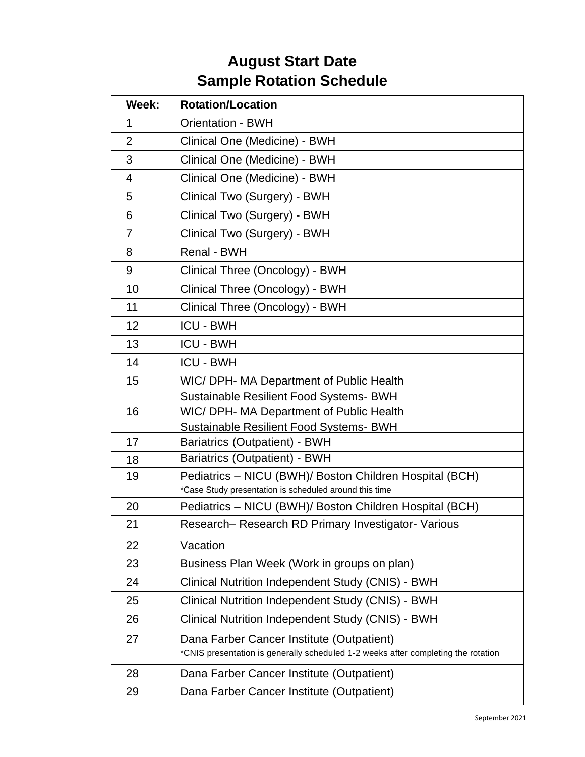## **August Start Date Sample Rotation Schedule**

| Week:          | <b>Rotation/Location</b>                                                                                                       |
|----------------|--------------------------------------------------------------------------------------------------------------------------------|
| 1              | <b>Orientation - BWH</b>                                                                                                       |
| $\overline{2}$ | Clinical One (Medicine) - BWH                                                                                                  |
| 3              | Clinical One (Medicine) - BWH                                                                                                  |
| $\overline{4}$ | Clinical One (Medicine) - BWH                                                                                                  |
| 5              | Clinical Two (Surgery) - BWH                                                                                                   |
| 6              | Clinical Two (Surgery) - BWH                                                                                                   |
| $\overline{7}$ | Clinical Two (Surgery) - BWH                                                                                                   |
| 8              | Renal - BWH                                                                                                                    |
| 9              | Clinical Three (Oncology) - BWH                                                                                                |
| 10             | Clinical Three (Oncology) - BWH                                                                                                |
| 11             | Clinical Three (Oncology) - BWH                                                                                                |
| 12             | <b>ICU - BWH</b>                                                                                                               |
| 13             | <b>ICU - BWH</b>                                                                                                               |
| 14             | <b>ICU - BWH</b>                                                                                                               |
| 15             | WIC/ DPH- MA Department of Public Health                                                                                       |
|                | <b>Sustainable Resilient Food Systems- BWH</b>                                                                                 |
| 16             | WIC/ DPH- MA Department of Public Health<br><b>Sustainable Resilient Food Systems- BWH</b>                                     |
| 17             | Bariatrics (Outpatient) - BWH                                                                                                  |
| 18             | Bariatrics (Outpatient) - BWH                                                                                                  |
| 19             | Pediatrics - NICU (BWH)/ Boston Children Hospital (BCH)<br>*Case Study presentation is scheduled around this time              |
| 20             | Pediatrics - NICU (BWH)/ Boston Children Hospital (BCH)                                                                        |
| 21             | Research- Research RD Primary Investigator- Various                                                                            |
| 22             | Vacation                                                                                                                       |
| 23             | Business Plan Week (Work in groups on plan)                                                                                    |
| 24             | Clinical Nutrition Independent Study (CNIS) - BWH                                                                              |
| 25             | Clinical Nutrition Independent Study (CNIS) - BWH                                                                              |
| 26             | Clinical Nutrition Independent Study (CNIS) - BWH                                                                              |
| 27             | Dana Farber Cancer Institute (Outpatient)<br>*CNIS presentation is generally scheduled 1-2 weeks after completing the rotation |
| 28             | Dana Farber Cancer Institute (Outpatient)                                                                                      |
| 29             | Dana Farber Cancer Institute (Outpatient)                                                                                      |